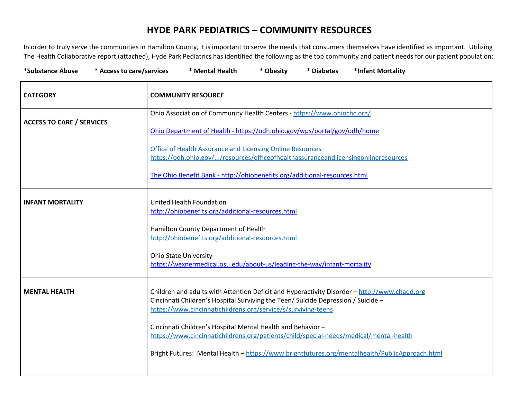## **HYDE PARK PEDIATRICS – COMMUNITY RESOURCES**

In order to truly serve the communities in Hamilton County, it is important to serve the needs that consumers themselves have identified as important. Utilizing The Health Collaborative report (attached), Hyde Park Pediatrics has identified the following as the top community and patient needs for our patient population:

| *Substance Abuse<br>* Access to care/services | * Mental Health<br>*Infant Mortality<br>* Obesity<br>* Diabetes                                                                                                                                                                                    |
|-----------------------------------------------|----------------------------------------------------------------------------------------------------------------------------------------------------------------------------------------------------------------------------------------------------|
| <b>CATEGORY</b>                               | <b>COMMUNITY RESOURCE</b>                                                                                                                                                                                                                          |
| <b>ACCESS TO CARE / SERVICES</b>              | Ohio Association of Community Health Centers - https://www.ohiochc.org/<br>Ohio Department of Health - https://odh.ohio.gov/wps/portal/gov/odh/home                                                                                                |
|                                               | Office of Health Assurance and Licensing Online Resources<br>https://odh.ohio.gov//resources/officeofhealthassuranceandlicensingonlineresources                                                                                                    |
|                                               | The Ohio Benefit Bank - http://ohiobenefits.org/additional-resources.html                                                                                                                                                                          |
| <b>INFANT MORTALITY</b>                       | United Health Foundation<br>http://ohiobenefits.org/additional-resources.html                                                                                                                                                                      |
|                                               | Hamilton County Department of Health<br>http://ohiobenefits.org/additional-resources.html                                                                                                                                                          |
|                                               | <b>Ohio State University</b><br>https://wexnermedical.osu.edu/about-us/leading-the-way/infant-mortality                                                                                                                                            |
| <b>MENTAL HEALTH</b>                          | Children and adults with Attention Deficit and Hyperactivity Disorder - http://www.chadd.org<br>Cincinnati Children's Hospital Surviving the Teen/ Suicide Depression / Suicide -<br>https://www.cincinnatichildrens.org/service/s/surviving-teens |
|                                               | Cincinnati Children's Hospital Mental Health and Behavior -<br>https://www.cincinnatichildrens.org/patients/child/special-needs/medical/mental-health                                                                                              |
|                                               | Bright Futures: Mental Health - https://www.brightfutures.org/mentalhealth/PublicApproach.html                                                                                                                                                     |